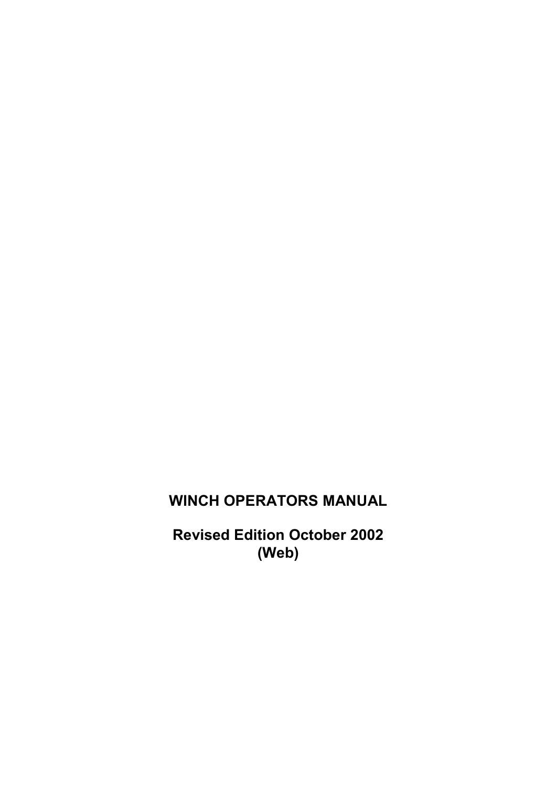## **WINCH OPERATORS MANUAL**

**Revised Edition October 2002 (Web)**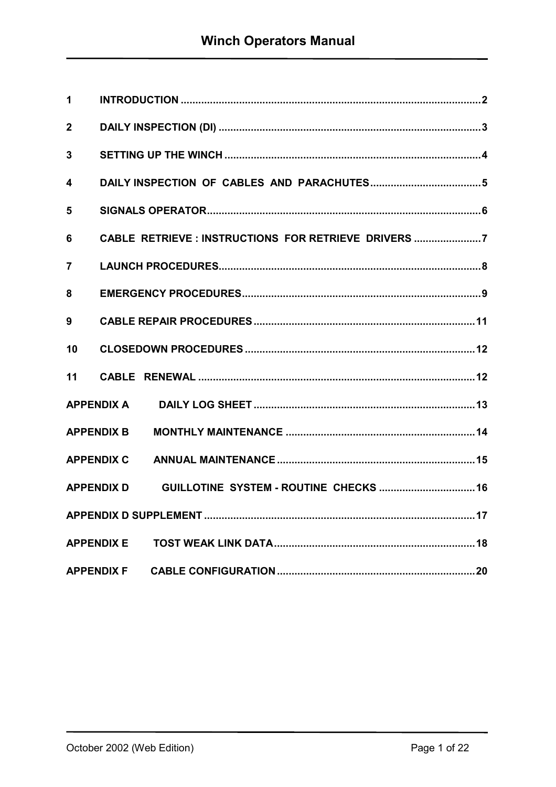| 1              |                                                      |
|----------------|------------------------------------------------------|
| $\overline{2}$ |                                                      |
| $\mathbf{3}$   |                                                      |
| 4              |                                                      |
| 5              |                                                      |
| 6              | CABLE RETRIEVE : INSTRUCTIONS FOR RETRIEVE DRIVERS 7 |
| 7              |                                                      |
| 8              |                                                      |
| 9              |                                                      |
| 10             |                                                      |
| 11             |                                                      |
|                | <b>APPENDIX A</b>                                    |
|                | <b>APPENDIX B</b>                                    |
|                | <b>APPENDIX C</b>                                    |
|                | <b>APPENDIX D</b>                                    |
|                |                                                      |
|                | <b>APPENDIX E</b>                                    |
|                |                                                      |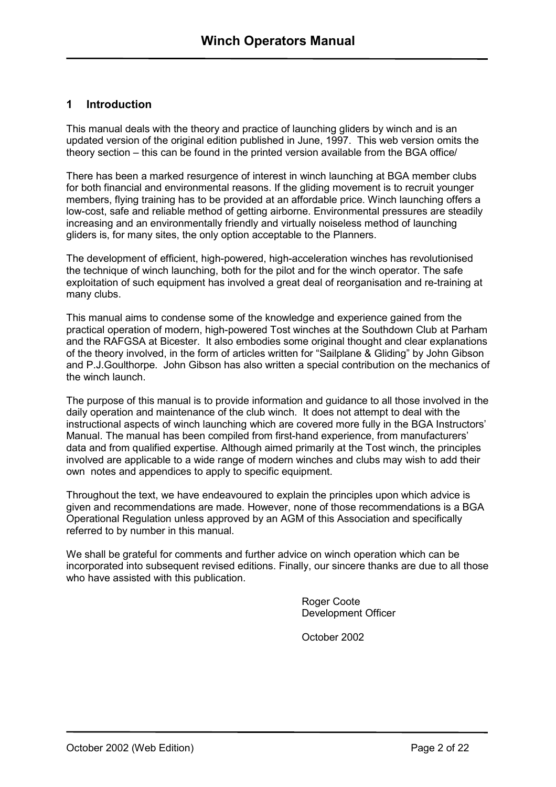#### <span id="page-2-0"></span>**1 Introduction**

This manual deals with the theory and practice of launching gliders by winch and is an updated version of the original edition published in June, 1997. This web version omits the theory section – this can be found in the printed version available from the BGA office/

There has been a marked resurgence of interest in winch launching at BGA member clubs for both financial and environmental reasons. If the gliding movement is to recruit younger members, flying training has to be provided at an affordable price. Winch launching offers a low-cost, safe and reliable method of getting airborne. Environmental pressures are steadily increasing and an environmentally friendly and virtually noiseless method of launching gliders is, for many sites, the only option acceptable to the Planners.

The development of efficient, high-powered, high-acceleration winches has revolutionised the technique of winch launching, both for the pilot and for the winch operator. The safe exploitation of such equipment has involved a great deal of reorganisation and re-training at many clubs.

This manual aims to condense some of the knowledge and experience gained from the practical operation of modern, high-powered Tost winches at the Southdown Club at Parham and the RAFGSA at Bicester. It also embodies some original thought and clear explanations of the theory involved, in the form of articles written for "Sailplane & Gliding" by John Gibson and P.J.Goulthorpe. John Gibson has also written a special contribution on the mechanics of the winch launch.

The purpose of this manual is to provide information and guidance to all those involved in the daily operation and maintenance of the club winch. It does not attempt to deal with the instructional aspects of winch launching which are covered more fully in the BGA Instructors' Manual. The manual has been compiled from first-hand experience, from manufacturers' data and from qualified expertise. Although aimed primarily at the Tost winch, the principles involved are applicable to a wide range of modern winches and clubs may wish to add their own notes and appendices to apply to specific equipment.

Throughout the text, we have endeavoured to explain the principles upon which advice is given and recommendations are made. However, none of those recommendations is a BGA Operational Regulation unless approved by an AGM of this Association and specifically referred to by number in this manual.

We shall be grateful for comments and further advice on winch operation which can be incorporated into subsequent revised editions. Finally, our sincere thanks are due to all those who have assisted with this publication.

> Roger Coote Development Officer

October 2002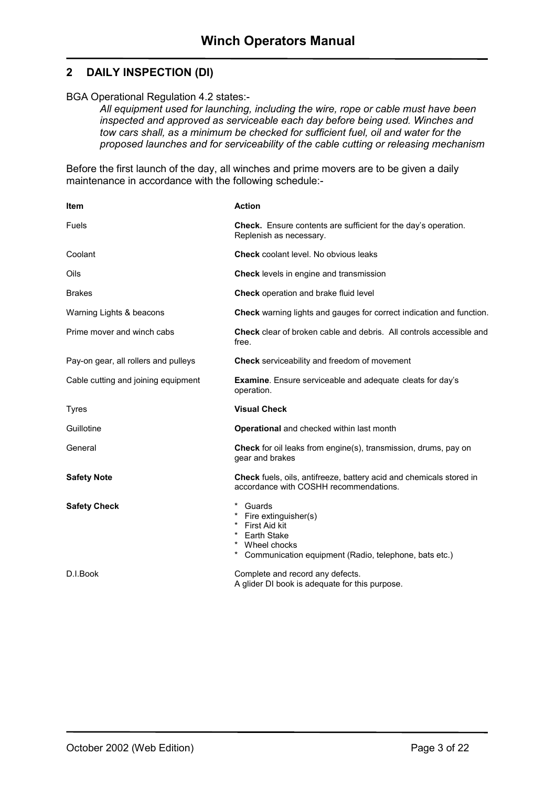#### <span id="page-3-0"></span>**2 DAILY INSPECTION (DI)**

BGA Operational Regulation 4.2 states:-

*All equipment used for launching, including the wire, rope or cable must have been inspected and approved as serviceable each day before being used. Winches and tow cars shall, as a minimum be checked for sufficient fuel, oil and water for the proposed launches and for serviceability of the cable cutting or releasing mechanism* 

Before the first launch of the day, all winches and prime movers are to be given a daily maintenance in accordance with the following schedule:-

| <b>Item</b>                          | <b>Action</b>                                                                                                                                    |
|--------------------------------------|--------------------------------------------------------------------------------------------------------------------------------------------------|
| <b>Fuels</b>                         | <b>Check.</b> Ensure contents are sufficient for the day's operation.<br>Replenish as necessary.                                                 |
| Coolant                              | <b>Check</b> coolant level. No obvious leaks                                                                                                     |
| Oils                                 | Check levels in engine and transmission                                                                                                          |
| <b>Brakes</b>                        | Check operation and brake fluid level                                                                                                            |
| Warning Lights & beacons             | <b>Check</b> warning lights and gauges for correct indication and function.                                                                      |
| Prime mover and winch cabs           | <b>Check</b> clear of broken cable and debris. All controls accessible and<br>free.                                                              |
| Pay-on gear, all rollers and pulleys | Check serviceability and freedom of movement                                                                                                     |
| Cable cutting and joining equipment  | <b>Examine.</b> Ensure serviceable and adequate cleats for day's<br>operation.                                                                   |
|                                      |                                                                                                                                                  |
| <b>Tyres</b>                         | <b>Visual Check</b>                                                                                                                              |
| Guillotine                           | <b>Operational</b> and checked within last month                                                                                                 |
| General                              | <b>Check</b> for oil leaks from engine(s), transmission, drums, pay on<br>gear and brakes                                                        |
| <b>Safety Note</b>                   | <b>Check</b> fuels, oils, antifreeze, battery acid and chemicals stored in<br>accordance with COSHH recommendations.                             |
| <b>Safety Check</b>                  | Guards<br>Fire extinguisher(s)<br>First Aid kit<br><b>Earth Stake</b><br>* Wheel chocks<br>Communication equipment (Radio, telephone, bats etc.) |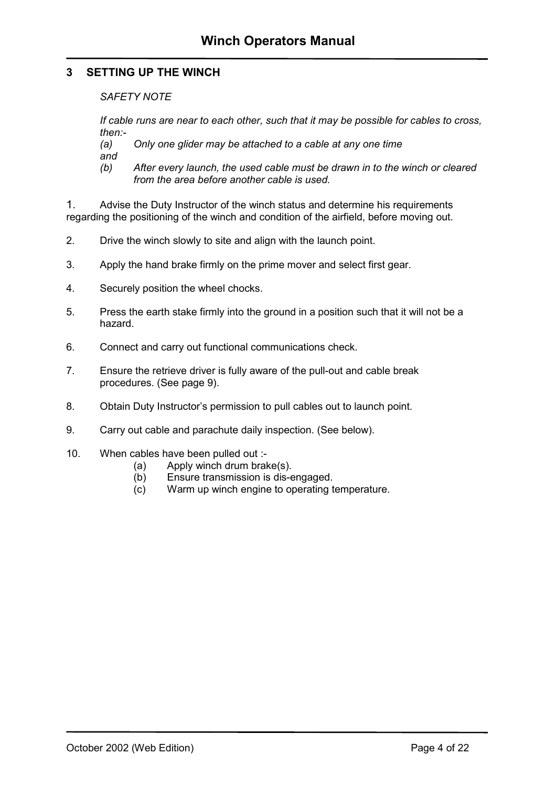#### <span id="page-4-0"></span>**3 SETTING UP THE WINCH**

*SAFETY NOTE* 

*If cable runs are near to each other, such that it may be possible for cables to cross, then:-* 

*(a) Only one glider may be attached to a cable at any one time and* 

*(b) After every launch, the used cable must be drawn in to the winch or cleared from the area before another cable is used.* 

1. Advise the Duty Instructor of the winch status and determine his requirements regarding the positioning of the winch and condition of the airfield, before moving out.

- 2. Drive the winch slowly to site and align with the launch point.
- 3. Apply the hand brake firmly on the prime mover and select first gear.
- 4. Securely position the wheel chocks.
- 5. Press the earth stake firmly into the ground in a position such that it will not be a hazard.
- 6. Connect and carry out functional communications check.
- 7. Ensure the retrieve driver is fully aware of the pull-out and cable break procedures. (See page 9).
- 8. Obtain Duty Instructor's permission to pull cables out to launch point.
- 9. Carry out cable and parachute daily inspection. (See below).
- 10. When cables have been pulled out :-
	- (a) Apply winch drum brake(s).
	- (b) Ensure transmission is dis-engaged.
	- (c) Warm up winch engine to operating temperature.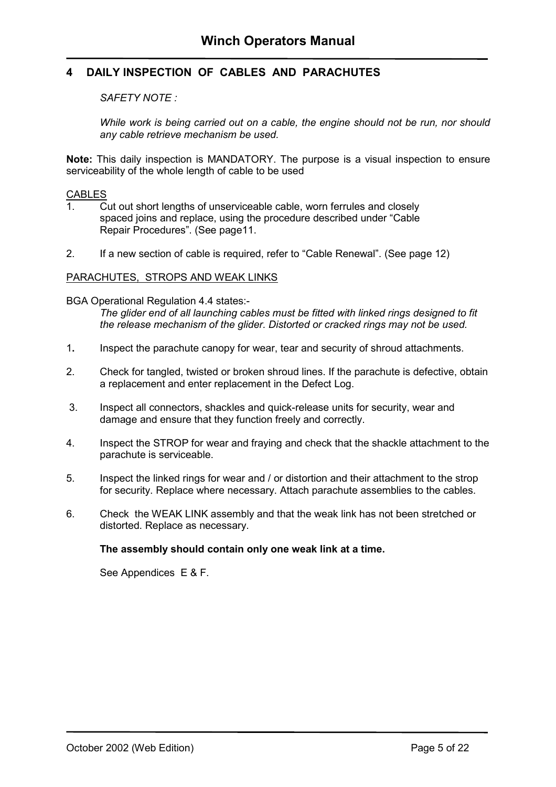#### <span id="page-5-0"></span>**4 DAILY INSPECTION OF CABLES AND PARACHUTES**

#### *SAFETY NOTE :*

*While work is being carried out on a cable, the engine should not be run, nor should any cable retrieve mechanism be used.* 

**Note:** This daily inspection is MANDATORY. The purpose is a visual inspection to ensure serviceability of the whole length of cable to be used

#### **CABLES**

- 1. Cut out short lengths of unserviceable cable, worn ferrules and closely spaced joins and replace, using the procedure described under "Cable Repair Procedures". (See page[11.](#page-11-0)
- 2. If a new section of cable is required, refer to "Cable Renewal". (See page [12\)](#page-12-0)

#### PARACHUTES, STROPS AND WEAK LINKS

BGA Operational Regulation 4.4 states:-

*The glider end of all launching cables must be fitted with linked rings designed to fit the release mechanism of the glider. Distorted or cracked rings may not be used.* 

- 1**.** Inspect the parachute canopy for wear, tear and security of shroud attachments.
- 2. Check for tangled, twisted or broken shroud lines. If the parachute is defective, obtain a replacement and enter replacement in the Defect Log.
- 3. Inspect all connectors, shackles and quick-release units for security, wear and damage and ensure that they function freely and correctly.
- 4. Inspect the STROP for wear and fraying and check that the shackle attachment to the parachute is serviceable.
- 5. Inspect the linked rings for wear and / or distortion and their attachment to the strop for security. Replace where necessary. Attach parachute assemblies to the cables.
- 6. Check the WEAK LINK assembly and that the weak link has not been stretched or distorted. Replace as necessary.

#### **The assembly should contain only one weak link at a time.**

See Appendices E & F.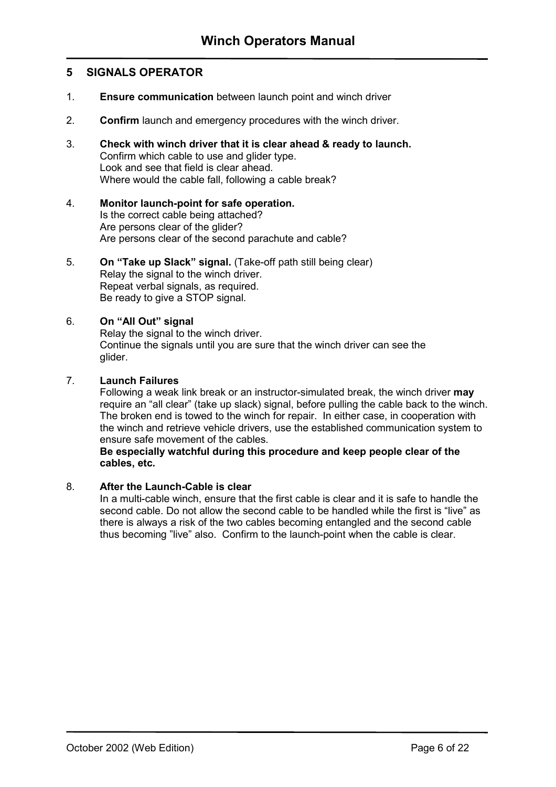#### <span id="page-6-0"></span>**5 SIGNALS OPERATOR**

- 1. **Ensure communication** between launch point and winch driver
- 2. **Confirm** launch and emergency procedures with the winch driver.
- 3. **Check with winch driver that it is clear ahead & ready to launch.** Confirm which cable to use and glider type. Look and see that field is clear ahead. Where would the cable fall, following a cable break?
- 4. **Monitor launch-point for safe operation.** Is the correct cable being attached? Are persons clear of the glider? Are persons clear of the second parachute and cable?

#### 5. **On "Take up Slack" signal.** (Take-off path still being clear) Relay the signal to the winch driver. Repeat verbal signals, as required. Be ready to give a STOP signal.

#### 6. **On "All Out" signal**

Relay the signal to the winch driver. Continue the signals until you are sure that the winch driver can see the glider.

#### 7. **Launch Failures**

Following a weak link break or an instructor-simulated break, the winch driver **may** require an "all clear" (take up slack) signal, before pulling the cable back to the winch. The broken end is towed to the winch for repair. In either case, in cooperation with the winch and retrieve vehicle drivers, use the established communication system to ensure safe movement of the cables.

#### **Be especially watchful during this procedure and keep people clear of the cables, etc.**

#### 8. **After the Launch-Cable is clear**

In a multi-cable winch, ensure that the first cable is clear and it is safe to handle the second cable. Do not allow the second cable to be handled while the first is "live" as there is always a risk of the two cables becoming entangled and the second cable thus becoming "live" also. Confirm to the launch-point when the cable is clear.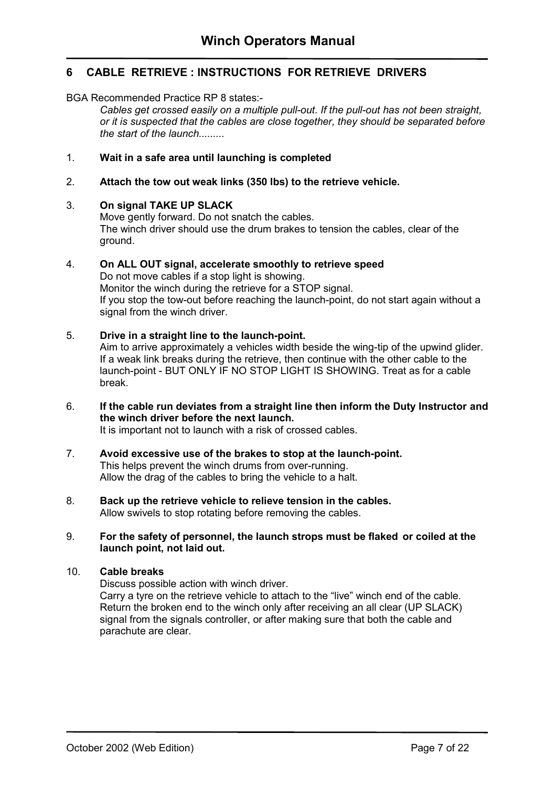### <span id="page-7-0"></span>**6 CABLE RETRIEVE : INSTRUCTIONS FOR RETRIEVE DRIVERS**

#### BGA Recommended Practice RP 8 states:-

*Cables get crossed easily on a multiple pull-out. If the pull-out has not been straight, or it is suspected that the cables are close together, they should be separated before the start of the launch.........* 

#### 1. **Wait in a safe area until launching is completed**

#### 2. **Attach the tow out weak links (350 lbs) to the retrieve vehicle.**

#### 3. **On signal TAKE UP SLACK**

Move gently forward. Do not snatch the cables. The winch driver should use the drum brakes to tension the cables, clear of the ground.

### 4. **On ALL OUT signal, accelerate smoothly to retrieve speed**  Do not move cables if a stop light is showing.

 Monitor the winch during the retrieve for a STOP signal. If you stop the tow-out before reaching the launch-point, do not start again without a signal from the winch driver.

#### 5. **Drive in a straight line to the launch-point.**

 Aim to arrive approximately a vehicles width beside the wing-tip of the upwind glider. If a weak link breaks during the retrieve, then continue with the other cable to the launch-point - BUT ONLY IF NO STOP LIGHT IS SHOWING. Treat as for a cable break.

6. **If the cable run deviates from a straight line then inform the Duty Instructor and the winch driver before the next launch.**  It is important not to launch with a risk of crossed cables.

# 7. **Avoid excessive use of the brakes to stop at the launch-point.**

 This helps prevent the winch drums from over-running. Allow the drag of the cables to bring the vehicle to a halt.

#### 8. **Back up the retrieve vehicle to relieve tension in the cables.** Allow swivels to stop rotating before removing the cables.

#### 9. **For the safety of personnel, the launch strops must be flaked or coiled at the launch point, not laid out.**

#### 10. **Cable breaks**

Discuss possible action with winch driver.

 Carry a tyre on the retrieve vehicle to attach to the "live" winch end of the cable. Return the broken end to the winch only after receiving an all clear (UP SLACK) signal from the signals controller, or after making sure that both the cable and parachute are clear.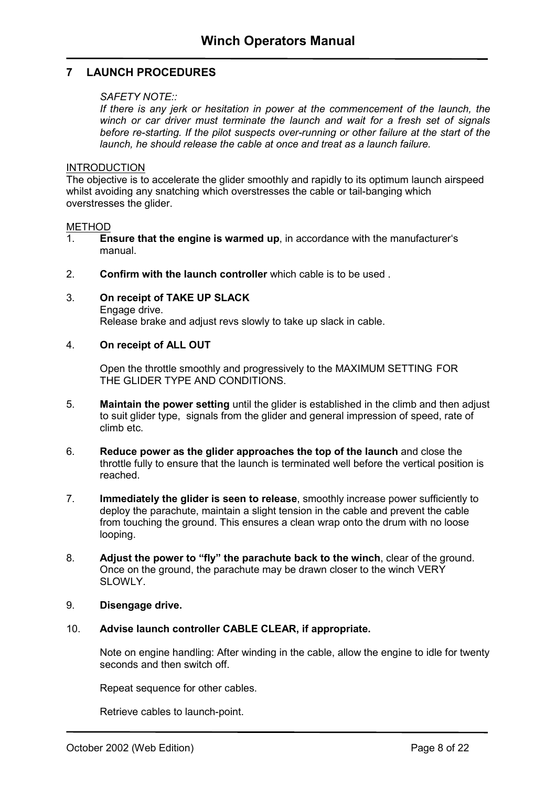### <span id="page-8-0"></span>**7 LAUNCH PROCEDURES**

#### *SAFETY NOTE::*

If there is any jerk or hesitation in power at the commencement of the launch, the *winch or car driver must terminate the launch and wait for a fresh set of signals before re-starting. If the pilot suspects over-running or other failure at the start of the launch, he should release the cable at once and treat as a launch failure.* 

#### INTRODUCTION

The objective is to accelerate the glider smoothly and rapidly to its optimum launch airspeed whilst avoiding any snatching which overstresses the cable or tail-banging which overstresses the glider.

#### METHOD

- 1. **Ensure that the engine is warmed up**, in accordance with the manufacturer's manual.
- 2. **Confirm with the launch controller** which cable is to be used .
- 3. **On receipt of TAKE UP SLACK** Engage drive.

Release brake and adjust revs slowly to take up slack in cable.

#### 4. **On receipt of ALL OUT**

Open the throttle smoothly and progressively to the MAXIMUM SETTING FOR THE GLIDER TYPE AND CONDITIONS.

- 5. **Maintain the power setting** until the glider is established in the climb and then adjust to suit glider type, signals from the glider and general impression of speed, rate of climb etc.
- 6. **Reduce power as the glider approaches the top of the launch** and close the throttle fully to ensure that the launch is terminated well before the vertical position is reached.
- 7. **Immediately the glider is seen to release**, smoothly increase power sufficiently to deploy the parachute, maintain a slight tension in the cable and prevent the cable from touching the ground. This ensures a clean wrap onto the drum with no loose looping.
- 8. **Adjust the power to "fly" the parachute back to the winch**, clear of the ground. Once on the ground, the parachute may be drawn closer to the winch VERY SLOWLY.

#### 9. **Disengage drive.**

#### 10. **Advise launch controller CABLE CLEAR, if appropriate.**

Note on engine handling: After winding in the cable, allow the engine to idle for twenty seconds and then switch off.

Repeat sequence for other cables.

Retrieve cables to launch-point.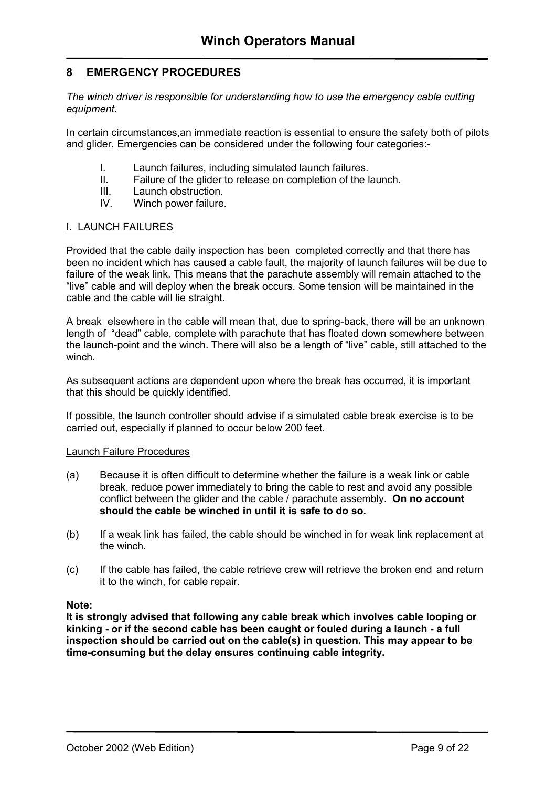### <span id="page-9-0"></span>**8 EMERGENCY PROCEDURES**

*The winch driver is responsible for understanding how to use the emergency cable cutting equipment.* 

In certain circumstances,an immediate reaction is essential to ensure the safety both of pilots and glider. Emergencies can be considered under the following four categories:-

- I. Launch failures, including simulated launch failures.
- II. Failure of the glider to release on completion of the launch.
- III. Launch obstruction.
- IV. Winch power failure.

#### I. LAUNCH FAILURES

Provided that the cable daily inspection has been completed correctly and that there has been no incident which has caused a cable fault, the majority of launch failures wiil be due to failure of the weak link. This means that the parachute assembly will remain attached to the "live" cable and will deploy when the break occurs. Some tension will be maintained in the cable and the cable will lie straight.

A break elsewhere in the cable will mean that, due to spring-back, there will be an unknown length of "dead" cable, complete with parachute that has floated down somewhere between the launch-point and the winch. There will also be a length of "live" cable, still attached to the winch.

As subsequent actions are dependent upon where the break has occurred, it is important that this should be quickly identified.

If possible, the launch controller should advise if a simulated cable break exercise is to be carried out, especially if planned to occur below 200 feet.

#### Launch Failure Procedures

- (a) Because it is often difficult to determine whether the failure is a weak link or cable break, reduce power immediately to bring the cable to rest and avoid any possible conflict between the glider and the cable / parachute assembly. **On no account should the cable be winched in until it is safe to do so.**
- (b) If a weak link has failed, the cable should be winched in for weak link replacement at the winch.
- (c) If the cable has failed, the cable retrieve crew will retrieve the broken end and return it to the winch, for cable repair.

**Note:** 

**It is strongly advised that following any cable break which involves cable looping or kinking - or if the second cable has been caught or fouled during a launch - a full inspection should be carried out on the cable(s) in question. This may appear to be time-consuming but the delay ensures continuing cable integrity.**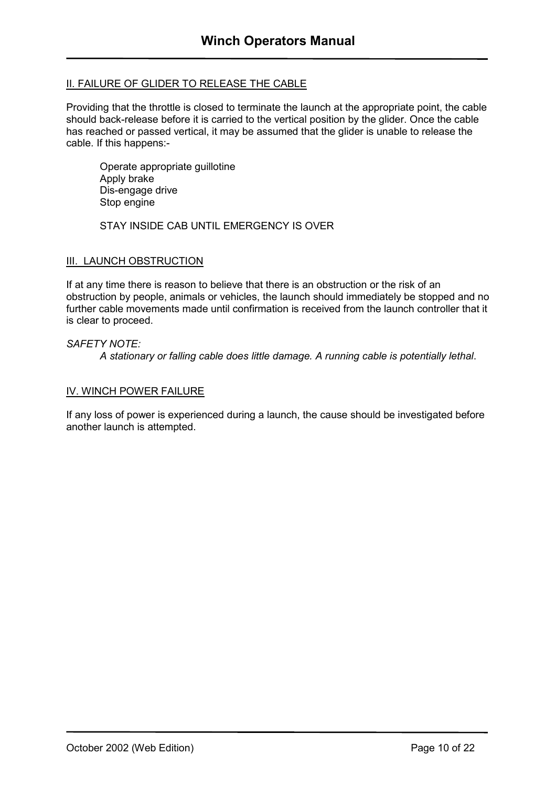#### II. FAILURE OF GLIDER TO RELEASE THE CABLE

Providing that the throttle is closed to terminate the launch at the appropriate point, the cable should back-release before it is carried to the vertical position by the glider. Once the cable has reached or passed vertical, it may be assumed that the glider is unable to release the cable. If this happens:-

Operate appropriate guillotine Apply brake Dis-engage drive Stop engine

STAY INSIDE CAB UNTIL EMERGENCY IS OVER

#### III. LAUNCH OBSTRUCTION

If at any time there is reason to believe that there is an obstruction or the risk of an obstruction by people, animals or vehicles, the launch should immediately be stopped and no further cable movements made until confirmation is received from the launch controller that it is clear to proceed.

#### *SAFETY NOTE:*

*A stationary or falling cable does little damage. A running cable is potentially lethal*.

#### IV. WINCH POWER FAILURE

If any loss of power is experienced during a launch, the cause should be investigated before another launch is attempted.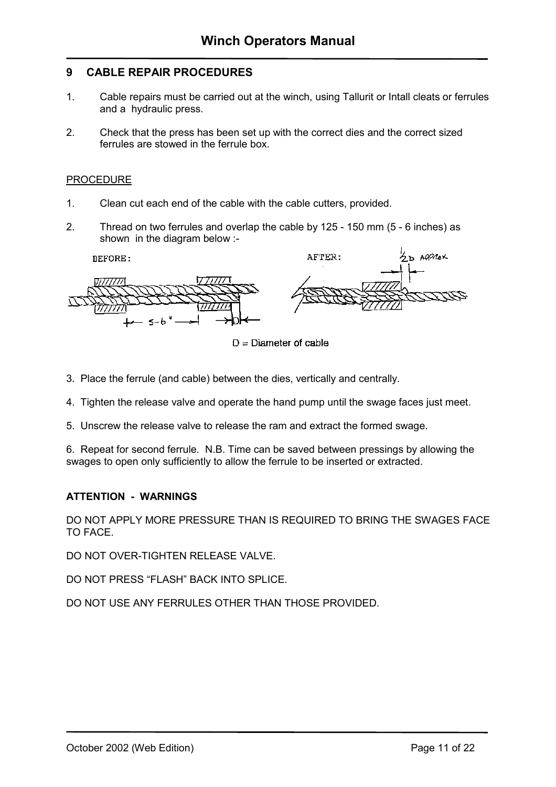#### <span id="page-11-0"></span>**9 CABLE REPAIR PROCEDURES**

- 1. Cable repairs must be carried out at the winch, using Tallurit or Intall cleats or ferrules and a hydraulic press.
- 2. Check that the press has been set up with the correct dies and the correct sized ferrules are stowed in the ferrule box.

#### PROCEDURE

- 1. Clean cut each end of the cable with the cable cutters, provided.
- 2. Thread on two ferrules and overlap the cable by 125 150 mm (5 6 inches) as shown in the diagram below :-

**BEFORE:** 



 $D =$  Diameter of cable

AFTER:

- 3. Place the ferrule (and cable) between the dies, vertically and centrally.
- 4. Tighten the release valve and operate the hand pump until the swage faces just meet.
- 5. Unscrew the release valve to release the ram and extract the formed swage.

6. Repeat for second ferrule. N.B. Time can be saved between pressings by allowing the swages to open only sufficiently to allow the ferrule to be inserted or extracted.

#### **ATTENTION - WARNINGS**

DO NOT APPLY MORE PRESSURE THAN IS REQUIRED TO BRING THE SWAGES FACE TO FACE.

DO NOT OVER-TIGHTEN RELEASE VALVE.

DO NOT PRESS "FLASH" BACK INTO SPLICE.

DO NOT USE ANY FERRULES OTHER THAN THOSE PROVIDED.

 $D$  APPROX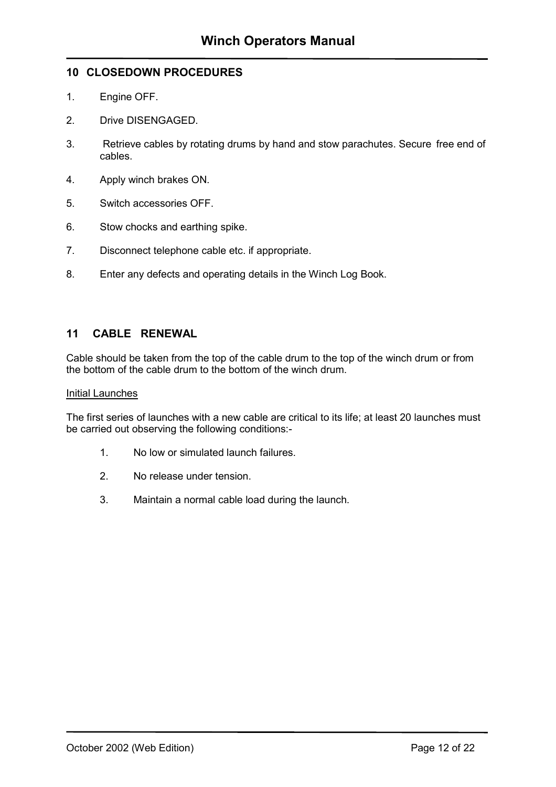#### <span id="page-12-0"></span>**10 CLOSEDOWN PROCEDURES**

- 1. Engine OFF.
- 2. Drive DISENGAGED.
- 3. Retrieve cables by rotating drums by hand and stow parachutes. Secure free end of cables.
- 4. Apply winch brakes ON.
- 5. Switch accessories OFF.
- 6. Stow chocks and earthing spike.
- 7. Disconnect telephone cable etc. if appropriate.
- 8. Enter any defects and operating details in the Winch Log Book.

#### **11 CABLE RENEWAL**

Cable should be taken from the top of the cable drum to the top of the winch drum or from the bottom of the cable drum to the bottom of the winch drum.

#### Initial Launches

The first series of launches with a new cable are critical to its life; at least 20 launches must be carried out observing the following conditions:-

- 1. No low or simulated launch failures.
- 2. No release under tension.
- 3. Maintain a normal cable load during the launch.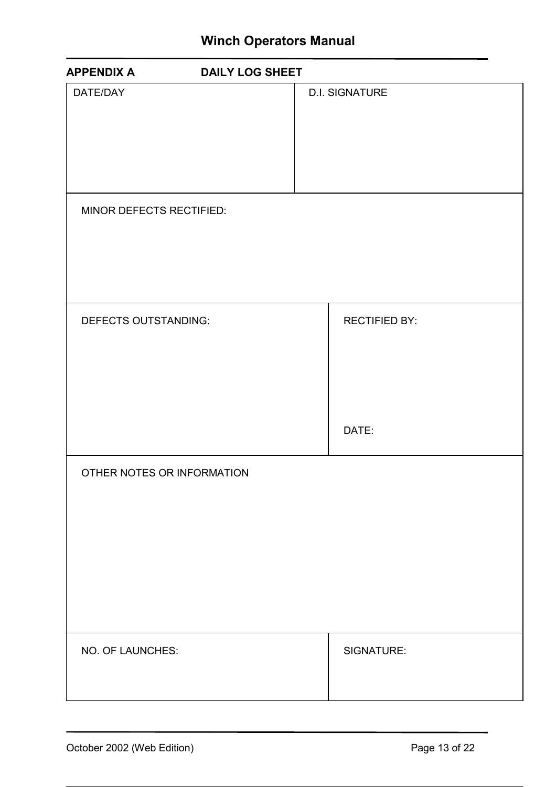## **Winch Operators Manual**

<span id="page-13-0"></span>

| <b>APPENDIX A</b>          | <b>DAILY LOG SHEET</b> |
|----------------------------|------------------------|
| DATE/DAY                   | <b>D.I. SIGNATURE</b>  |
| MINOR DEFECTS RECTIFIED:   |                        |
| DEFECTS OUTSTANDING:       | <b>RECTIFIED BY:</b>   |
|                            | DATE:                  |
| OTHER NOTES OR INFORMATION |                        |
| NO. OF LAUNCHES:           | SIGNATURE:             |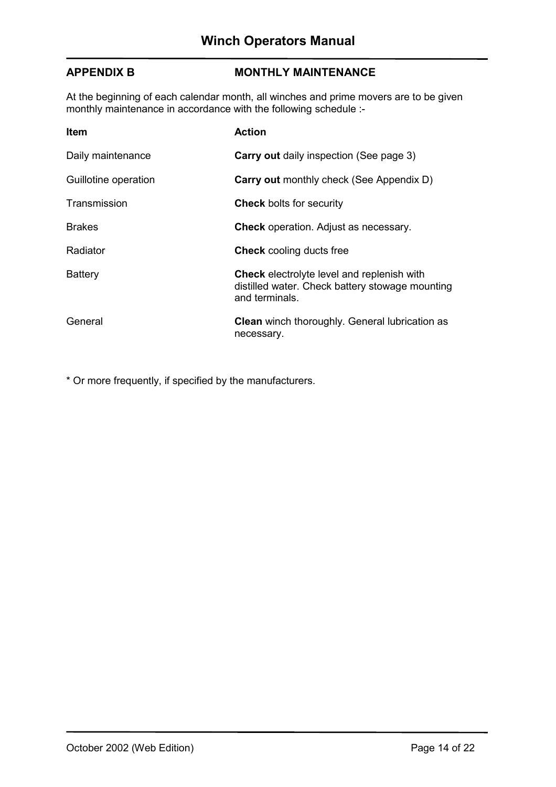#### <span id="page-14-0"></span>**APPENDIX B MONTHLY MAINTENANCE**

At the beginning of each calendar month, all winches and prime movers are to be given monthly maintenance in accordance with the following schedule :-

| <b>Item</b>          | <b>Action</b>                                                                                                          |
|----------------------|------------------------------------------------------------------------------------------------------------------------|
| Daily maintenance    | <b>Carry out daily inspection (See page 3)</b>                                                                         |
| Guillotine operation | <b>Carry out monthly check (See Appendix D)</b>                                                                        |
| Transmission         | <b>Check</b> bolts for security                                                                                        |
| <b>Brakes</b>        | <b>Check</b> operation. Adjust as necessary.                                                                           |
| Radiator             | <b>Check</b> cooling ducts free                                                                                        |
| <b>Battery</b>       | <b>Check</b> electrolyte level and replenish with<br>distilled water. Check battery stowage mounting<br>and terminals. |
| General              | <b>Clean</b> winch thoroughly. General lubrication as<br>necessary.                                                    |

\* Or more frequently, if specified by the manufacturers.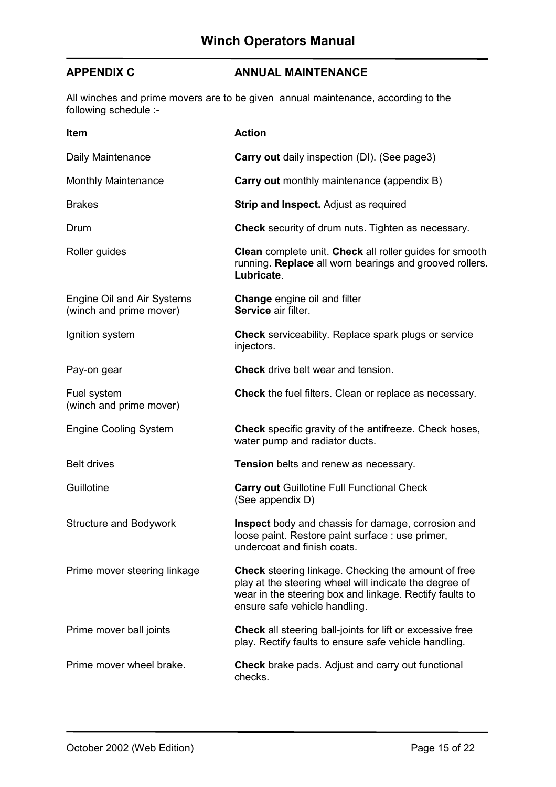### <span id="page-15-0"></span>**APPENDIX C ANNUAL MAINTENANCE**

All winches and prime movers are to be given annual maintenance, according to the following schedule :-

| Item                                                  | <b>Action</b>                                                                                                                                                                                                    |
|-------------------------------------------------------|------------------------------------------------------------------------------------------------------------------------------------------------------------------------------------------------------------------|
| Daily Maintenance                                     | <b>Carry out</b> daily inspection (DI). (See page3)                                                                                                                                                              |
| <b>Monthly Maintenance</b>                            | <b>Carry out</b> monthly maintenance (appendix B)                                                                                                                                                                |
| <b>Brakes</b>                                         | <b>Strip and Inspect.</b> Adjust as required                                                                                                                                                                     |
| Drum                                                  | Check security of drum nuts. Tighten as necessary.                                                                                                                                                               |
| Roller guides                                         | Clean complete unit. Check all roller guides for smooth<br>running. Replace all worn bearings and grooved rollers.<br>Lubricate.                                                                                 |
| Engine Oil and Air Systems<br>(winch and prime mover) | <b>Change</b> engine oil and filter<br>Service air filter.                                                                                                                                                       |
| Ignition system                                       | <b>Check</b> serviceability. Replace spark plugs or service<br>injectors.                                                                                                                                        |
| Pay-on gear                                           | <b>Check</b> drive belt wear and tension.                                                                                                                                                                        |
| Fuel system<br>(winch and prime mover)                | Check the fuel filters. Clean or replace as necessary.                                                                                                                                                           |
| <b>Engine Cooling System</b>                          | <b>Check</b> specific gravity of the antifreeze. Check hoses,<br>water pump and radiator ducts.                                                                                                                  |
| <b>Belt drives</b>                                    | Tension belts and renew as necessary.                                                                                                                                                                            |
| Guillotine                                            | <b>Carry out Guillotine Full Functional Check</b><br>(See appendix D)                                                                                                                                            |
| <b>Structure and Bodywork</b>                         | Inspect body and chassis for damage, corrosion and<br>loose paint. Restore paint surface : use primer,<br>undercoat and finish coats.                                                                            |
| Prime mover steering linkage                          | <b>Check</b> steering linkage. Checking the amount of free<br>play at the steering wheel will indicate the degree of<br>wear in the steering box and linkage. Rectify faults to<br>ensure safe vehicle handling. |
| Prime mover ball joints                               | <b>Check</b> all steering ball-joints for lift or excessive free<br>play. Rectify faults to ensure safe vehicle handling.                                                                                        |
| Prime mover wheel brake.                              | Check brake pads. Adjust and carry out functional<br>checks.                                                                                                                                                     |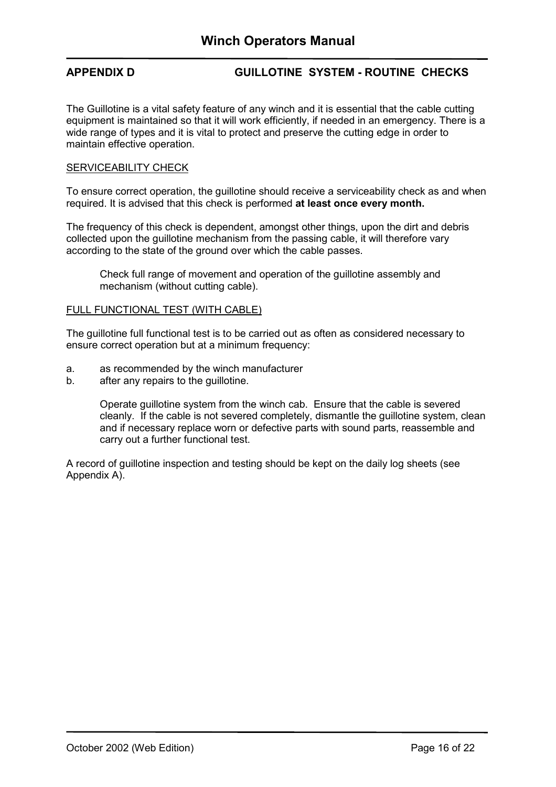#### <span id="page-16-0"></span>**APPENDIX D GUILLOTINE SYSTEM - ROUTINE CHECKS**

The Guillotine is a vital safety feature of any winch and it is essential that the cable cutting equipment is maintained so that it will work efficiently, if needed in an emergency. There is a wide range of types and it is vital to protect and preserve the cutting edge in order to maintain effective operation.

#### SERVICEABILITY CHECK

To ensure correct operation, the guillotine should receive a serviceability check as and when required. It is advised that this check is performed **at least once every month.** 

The frequency of this check is dependent, amongst other things, upon the dirt and debris collected upon the guillotine mechanism from the passing cable, it will therefore vary according to the state of the ground over which the cable passes.

Check full range of movement and operation of the guillotine assembly and mechanism (without cutting cable).

#### FULL FUNCTIONAL TEST (WITH CABLE)

The guillotine full functional test is to be carried out as often as considered necessary to ensure correct operation but at a minimum frequency:

- a. as recommended by the winch manufacturer
- b. after any repairs to the guillotine.

Operate guillotine system from the winch cab. Ensure that the cable is severed cleanly. If the cable is not severed completely, dismantle the guillotine system, clean and if necessary replace worn or defective parts with sound parts, reassemble and carry out a further functional test.

A record of guillotine inspection and testing should be kept on the daily log sheets (see Appendix A).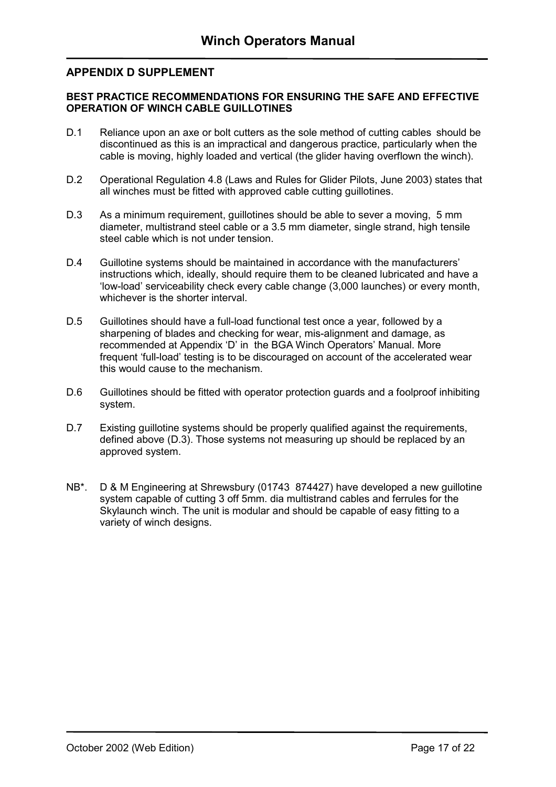#### <span id="page-17-0"></span>**APPENDIX D SUPPLEMENT**

#### **BEST PRACTICE RECOMMENDATIONS FOR ENSURING THE SAFE AND EFFECTIVE OPERATION OF WINCH CABLE GUILLOTINES**

- D.1 Reliance upon an axe or bolt cutters as the sole method of cutting cables should be discontinued as this is an impractical and dangerous practice, particularly when the cable is moving, highly loaded and vertical (the glider having overflown the winch).
- D.2 Operational Regulation 4.8 (Laws and Rules for Glider Pilots, June 2003) states that all winches must be fitted with approved cable cutting guillotines.
- D.3 As a minimum requirement, guillotines should be able to sever a moving, 5 mm diameter, multistrand steel cable or a 3.5 mm diameter, single strand, high tensile steel cable which is not under tension.
- D.4 Guillotine systems should be maintained in accordance with the manufacturers' instructions which, ideally, should require them to be cleaned lubricated and have a 'low-load' serviceability check every cable change (3,000 launches) or every month, whichever is the shorter interval.
- D.5 Guillotines should have a full-load functional test once a year, followed by a sharpening of blades and checking for wear, mis-alignment and damage, as recommended at Appendix 'D' in the BGA Winch Operators' Manual. More frequent 'full-load' testing is to be discouraged on account of the accelerated wear this would cause to the mechanism.
- D.6 Guillotines should be fitted with operator protection guards and a foolproof inhibiting system.
- D.7 Existing guillotine systems should be properly qualified against the requirements, defined above (D.3). Those systems not measuring up should be replaced by an approved system.
- NB\*. D & M Engineering at Shrewsbury (01743 874427) have developed a new guillotine system capable of cutting 3 off 5mm. dia multistrand cables and ferrules for the Skylaunch winch. The unit is modular and should be capable of easy fitting to a variety of winch designs.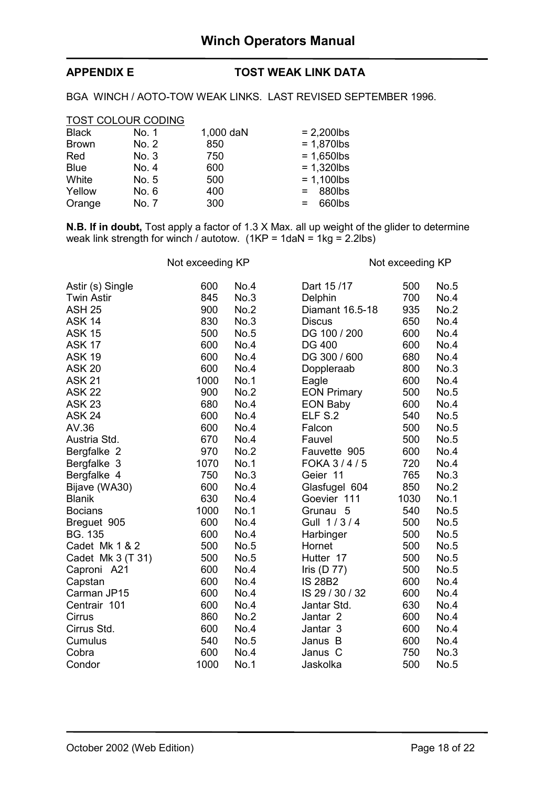### <span id="page-18-0"></span>**APPENDIX E TOST WEAK LINK DATA**

BGA WINCH / AOTO-TOW WEAK LINKS. LAST REVISED SEPTEMBER 1996.

| <b>TOST COLOUR CODING</b> |       |           |               |
|---------------------------|-------|-----------|---------------|
| <b>Black</b>              | No. 1 | 1,000 daN | $= 2,200$ lbs |
| <b>Brown</b>              | No. 2 | 850       | $= 1,870$ lbs |
| Red                       | No. 3 | 750       | $= 1,650$ lbs |
| <b>Blue</b>               | No. 4 | 600       | $= 1,320$ lbs |
| White                     | No. 5 | 500       | $= 1,100$ lbs |
| Yellow                    | No. 6 | 400       | 880lbs<br>$=$ |
| Orange                    | No. 7 | 300       | 660lbs<br>$=$ |

**N.B. If in doubt,** Tost apply a factor of 1.3 X Max. all up weight of the glider to determine weak link strength for winch / autotow. (1KP = 1daN = 1kg = 2.2lbs)

Not exceeding KP Not exceeding KP

| Astir (s) Single  | 600  | No.4        | Dart 15/17          | 500  | No.5 |
|-------------------|------|-------------|---------------------|------|------|
| <b>Twin Astir</b> | 845  | No.3        | Delphin             | 700  | No.4 |
| <b>ASH 25</b>     | 900  | No.2        | Diamant 16.5-18     | 935  | No.2 |
| <b>ASK 14</b>     | 830  | No.3        | <b>Discus</b>       | 650  | No.4 |
| <b>ASK 15</b>     | 500  | No.5        | DG 100 / 200        | 600  | No.4 |
| <b>ASK 17</b>     | 600  | No.4        | <b>DG 400</b>       | 600  | No.4 |
| <b>ASK 19</b>     | 600  | No.4        | DG 300 / 600        | 680  | No.4 |
| <b>ASK 20</b>     | 600  | No.4        | Doppleraab          | 800  | No.3 |
| <b>ASK 21</b>     | 1000 | <b>No.1</b> | Eagle               | 600  | No.4 |
| <b>ASK 22</b>     | 900  | No.2        | <b>EON Primary</b>  | 500  | No.5 |
| <b>ASK 23</b>     | 680  | No.4        | <b>EON Baby</b>     | 600  | No.4 |
| <b>ASK 24</b>     | 600  | No.4        | ELF S.2             | 540  | No.5 |
| AV.36             | 600  | No.4        | Falcon              | 500  | No.5 |
| Austria Std.      | 670  | No.4        | Fauvel              | 500  | No.5 |
| Bergfalke 2       | 970  | No.2        | Fauvette 905        | 600  | No.4 |
| Bergfalke 3       | 1070 | No.1        | FOKA 3/4/5          | 720  | No.4 |
| Bergfalke 4       | 750  | No.3        | Geier 11            | 765  | No.3 |
| Bijave (WA30)     | 600  | No.4        | Glasfugel 604       | 850  | No.2 |
| <b>Blanik</b>     | 630  | No.4        | Goevier 111         | 1030 | No.1 |
| <b>Bocians</b>    | 1000 | <b>No.1</b> | Grunau 5            | 540  | No.5 |
| Breguet 905       | 600  | No.4        | Gull 1/3/4          | 500  | No.5 |
| <b>BG. 135</b>    | 600  | No.4        | Harbinger           | 500  | No.5 |
| Cadet Mk 1 & 2    | 500  | No.5        | Hornet              | 500  | No.5 |
| Cadet Mk 3 (T 31) | 500  | No.5        | Hutter 17           | 500  | No.5 |
| Caproni A21       | 600  | No.4        | Iris $(D 77)$       | 500  | No.5 |
| Capstan           | 600  | No.4        | <b>IS 28B2</b>      | 600  | No.4 |
| Carman JP15       | 600  | No.4        | IS 29 / 30 / 32     | 600  | No.4 |
| Centrair 101      | 600  | No.4        | Jantar Std.         | 630  | No.4 |
| Cirrus            | 860  | No.2        | Jantar <sub>2</sub> | 600  | No.4 |
| Cirrus Std.       | 600  | No.4        | Jantar 3            | 600  | No.4 |
| Cumulus           | 540  | No.5        | Janus B             | 600  | No.4 |
| Cobra             | 600  | No.4        | Janus C             | 750  | No.3 |
| Condor            | 1000 | No.1        | Jaskolka            | 500  | No.5 |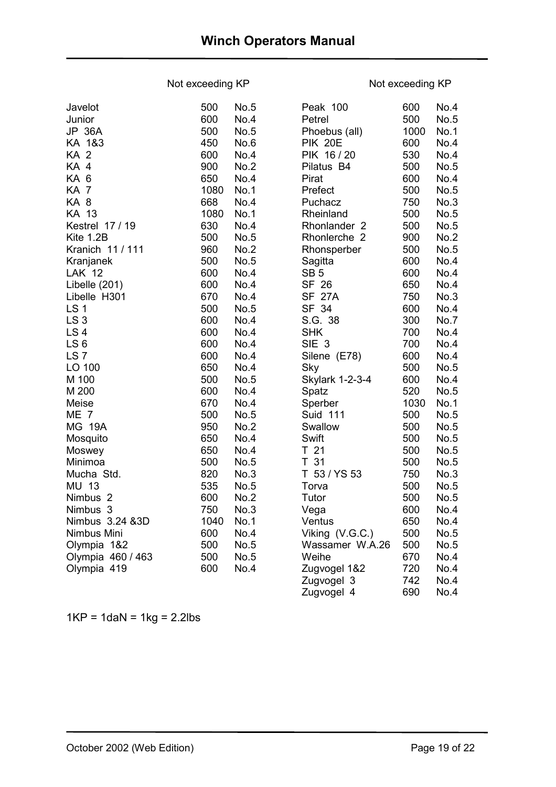### Not exceeding KP Not exceeding KP

| Javelot             | 500  | No.5        | Peak 100               | 600  | No.4 |
|---------------------|------|-------------|------------------------|------|------|
| Junior              | 600  | No.4        | Petrel                 | 500  | No.5 |
| <b>JP 36A</b>       | 500  | No.5        | Phoebus (all)          | 1000 | No.1 |
| KA 1&3              | 450  | No.6        | <b>PIK 20E</b>         | 600  | No.4 |
| KA <sub>2</sub>     | 600  | No.4        | PIK 16/20              | 530  | No.4 |
| KA 4                | 900  | No.2        | Pilatus B4             | 500  | No.5 |
| KA 6                | 650  | No.4        | Pirat                  | 600  | No.4 |
| KA 7                | 1080 | <b>No.1</b> | Prefect                | 500  | No.5 |
| KA 8                | 668  | No.4        | Puchacz                | 750  | No.3 |
| <b>KA 13</b>        | 1080 | <b>No.1</b> | Rheinland              | 500  | No.5 |
| Kestrel 17 / 19     | 630  | No.4        | Rhonlander 2           | 500  | No.5 |
| Kite 1.2B           | 500  | No.5        | Rhonlerche 2           | 900  | No.2 |
| Kranich 11 / 111    | 960  | No.2        | Rhonsperber            | 500  | No.5 |
| Kranjanek           | 500  | No.5        | Sagitta                | 600  | No.4 |
| <b>LAK 12</b>       | 600  | No.4        | SB <sub>5</sub>        | 600  | No.4 |
| Libelle (201)       | 600  | No.4        | SF 26                  | 650  | No.4 |
| Libelle H301        | 670  | No.4        | <b>SF 27A</b>          | 750  | No.3 |
| LS <sub>1</sub>     | 500  | No.5        | SF 34                  | 600  | No.4 |
| LS <sub>3</sub>     | 600  | No.4        | S.G. 38                | 300  | No.7 |
| LS <sub>4</sub>     | 600  | No.4        | <b>SHK</b>             | 700  | No.4 |
| LS <sub>6</sub>     | 600  | No.4        | SIE <sub>3</sub>       | 700  | No.4 |
| LS <sub>7</sub>     | 600  | No.4        | Silene (E78)           | 600  | No.4 |
| LO 100              | 650  | No.4        | Sky                    | 500  | No.5 |
| M 100               | 500  | No.5        | <b>Skylark 1-2-3-4</b> | 600  | No.4 |
| M 200               | 600  | No.4        | Spatz                  | 520  | No.5 |
| Meise               | 670  | No.4        | Sperber                | 1030 | No.1 |
| ME <sub>7</sub>     | 500  | No.5        | <b>Suid 111</b>        | 500  | No.5 |
| <b>MG 19A</b>       | 950  | No.2        | Swallow                | 500  | No.5 |
| Mosquito            | 650  | No.4        | Swift                  | 500  | No.5 |
| Moswey              | 650  | No.4        | T <sub>21</sub>        | 500  | No.5 |
| Minimoa             | 500  | No.5        | T 31                   | 500  | No.5 |
| Mucha Std.          | 820  | No.3        | T 53 / YS 53           | 750  | No.3 |
| MU 13               | 535  | <b>No.5</b> | Torva                  | 500  | No.5 |
| Nimbus <sub>2</sub> | 600  | No.2        | Tutor                  | 500  | No.5 |
| Nimbus 3            | 750  | No.3        | Vega                   | 600  | No.4 |
| Nimbus 3.24 &3D     | 1040 | <b>No.1</b> | Ventus                 | 650  | No.4 |
| Nimbus Mini         | 600  | No.4        | Viking (V.G.C.)        | 500  | No.5 |
| Olympia 1&2         | 500  | No.5        | Wassamer W.A.26        | 500  | No.5 |
| Olympia 460 / 463   | 500  | No.5        | Weihe                  | 670  | No.4 |
| Olympia 419         | 600  | No.4        | Zugvogel 1&2           | 720  | No.4 |
|                     |      |             | Zugvogel 3             | 742  | No.4 |

 $1KP = 1$ da $N = 1kg = 2.2lbs$ 

Zugvogel 4 690 No.4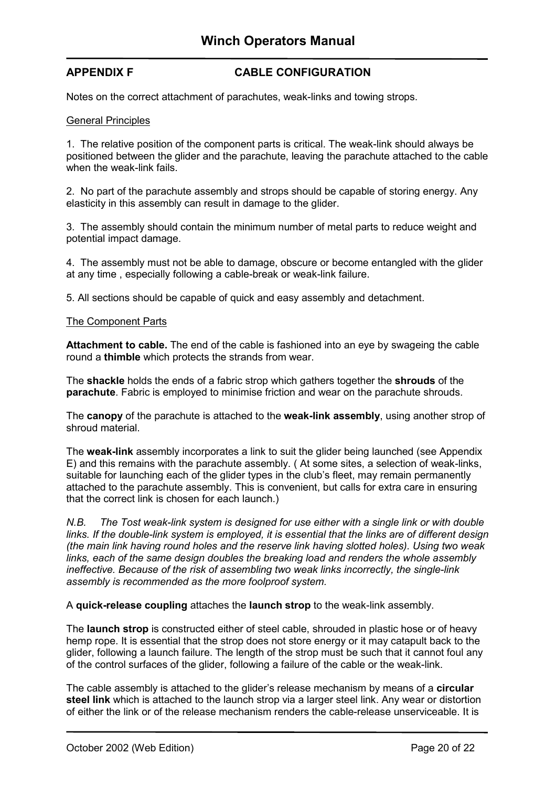#### <span id="page-20-0"></span>**APPENDIX F CABLE CONFIGURATION**

Notes on the correct attachment of parachutes, weak-links and towing strops.

#### General Principles

1. The relative position of the component parts is critical. The weak-link should always be positioned between the glider and the parachute, leaving the parachute attached to the cable when the weak-link fails.

2. No part of the parachute assembly and strops should be capable of storing energy. Any elasticity in this assembly can result in damage to the glider.

3. The assembly should contain the minimum number of metal parts to reduce weight and potential impact damage.

4. The assembly must not be able to damage, obscure or become entangled with the glider at any time , especially following a cable-break or weak-link failure.

5. All sections should be capable of quick and easy assembly and detachment.

#### The Component Parts

**Attachment to cable.** The end of the cable is fashioned into an eye by swageing the cable round a **thimble** which protects the strands from wear.

The **shackle** holds the ends of a fabric strop which gathers together the **shrouds** of the **parachute**. Fabric is employed to minimise friction and wear on the parachute shrouds.

The **canopy** of the parachute is attached to the **weak-link assembly**, using another strop of shroud material.

The **weak-link** assembly incorporates a link to suit the glider being launched (see Appendix E) and this remains with the parachute assembly. ( At some sites, a selection of weak-links, suitable for launching each of the glider types in the club's fleet, may remain permanently attached to the parachute assembly. This is convenient, but calls for extra care in ensuring that the correct link is chosen for each launch.)

*N.B. The Tost weak-link system is designed for use either with a single link or with double links. If the double-link system is employed, it is essential that the links are of different design (the main link having round holes and the reserve link having slotted holes). Using two weak links, each of the same design doubles the breaking load and renders the whole assembly ineffective. Because of the risk of assembling two weak links incorrectly, the single-link assembly is recommended as the more foolproof system.* 

A **quick-release coupling** attaches the **launch strop** to the weak-link assembly.

The **launch strop** is constructed either of steel cable, shrouded in plastic hose or of heavy hemp rope. It is essential that the strop does not store energy or it may catapult back to the glider, following a launch failure. The length of the strop must be such that it cannot foul any of the control surfaces of the glider, following a failure of the cable or the weak-link.

The cable assembly is attached to the glider's release mechanism by means of a **circular steel link** which is attached to the launch strop via a larger steel link. Any wear or distortion of either the link or of the release mechanism renders the cable-release unserviceable. It is